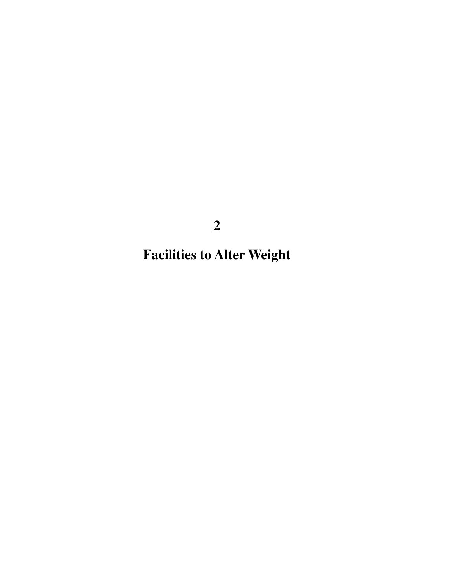**Facilities to Alter Weight**

**2**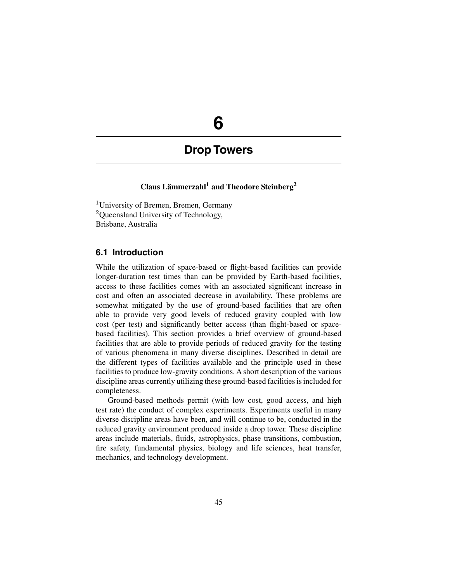# **6**

## **Drop Towers**

## **Claus Lämmerzahl1 and Theodore Steinberg2**

<sup>1</sup>University of Bremen, Bremen, Germany <sup>2</sup>Queensland University of Technology, Brisbane, Australia

## **6.1 Introduction**

While the utilization of space-based or flight-based facilities can provide longer-duration test times than can be provided by Earth-based facilities, access to these facilities comes with an associated significant increase in cost and often an associated decrease in availability. These problems are somewhat mitigated by the use of ground-based facilities that are often able to provide very good levels of reduced gravity coupled with low cost (per test) and significantly better access (than flight-based or spacebased facilities). This section provides a brief overview of ground-based facilities that are able to provide periods of reduced gravity for the testing of various phenomena in many diverse disciplines. Described in detail are the different types of facilities available and the principle used in these facilities to produce low-gravity conditions. A short description of the various discipline areas currently utilizing these ground-based facilities is included for completeness.

Ground-based methods permit (with low cost, good access, and high test rate) the conduct of complex experiments. Experiments useful in many diverse discipline areas have been, and will continue to be, conducted in the reduced gravity environment produced inside a drop tower. These discipline areas include materials, fluids, astrophysics, phase transitions, combustion, fire safety, fundamental physics, biology and life sciences, heat transfer, mechanics, and technology development.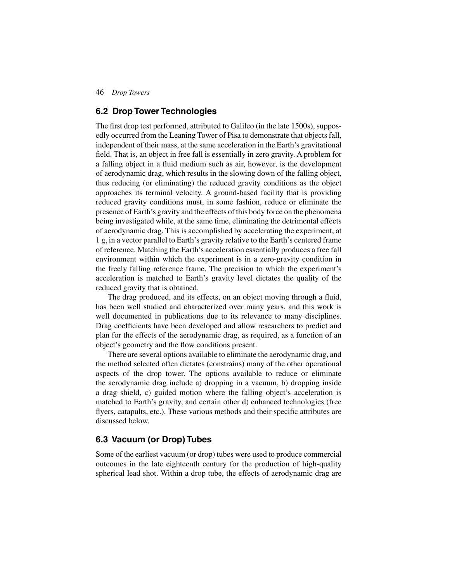## **6.2 Drop Tower Technologies**

The first drop test performed, attributed to Galileo (in the late 1500s), supposedly occurred from the Leaning Tower of Pisa to demonstrate that objects fall, independent of their mass, at the same acceleration in the Earth's gravitational field. That is, an object in free fall is essentially in zero gravity. A problem for a falling object in a fluid medium such as air, however, is the development of aerodynamic drag, which results in the slowing down of the falling object, thus reducing (or eliminating) the reduced gravity conditions as the object approaches its terminal velocity. A ground-based facility that is providing reduced gravity conditions must, in some fashion, reduce or eliminate the presence of Earth's gravity and the effects of this body force on the phenomena being investigated while, at the same time, eliminating the detrimental effects of aerodynamic drag. This is accomplished by accelerating the experiment, at 1 g, in a vector parallel to Earth's gravity relative to the Earth's centered frame of reference. Matching the Earth's acceleration essentially produces a free fall environment within which the experiment is in a zero-gravity condition in the freely falling reference frame. The precision to which the experiment's acceleration is matched to Earth's gravity level dictates the quality of the reduced gravity that is obtained.

The drag produced, and its effects, on an object moving through a fluid, has been well studied and characterized over many years, and this work is well documented in publications due to its relevance to many disciplines. Drag coefficients have been developed and allow researchers to predict and plan for the effects of the aerodynamic drag, as required, as a function of an object's geometry and the flow conditions present.

There are several options available to eliminate the aerodynamic drag, and the method selected often dictates (constrains) many of the other operational aspects of the drop tower. The options available to reduce or eliminate the aerodynamic drag include a) dropping in a vacuum, b) dropping inside a drag shield, c) guided motion where the falling object's acceleration is matched to Earth's gravity, and certain other d) enhanced technologies (free flyers, catapults, etc.). These various methods and their specific attributes are discussed below.

## **6.3 Vacuum (or Drop) Tubes**

Some of the earliest vacuum (or drop) tubes were used to produce commercial outcomes in the late eighteenth century for the production of high-quality spherical lead shot. Within a drop tube, the effects of aerodynamic drag are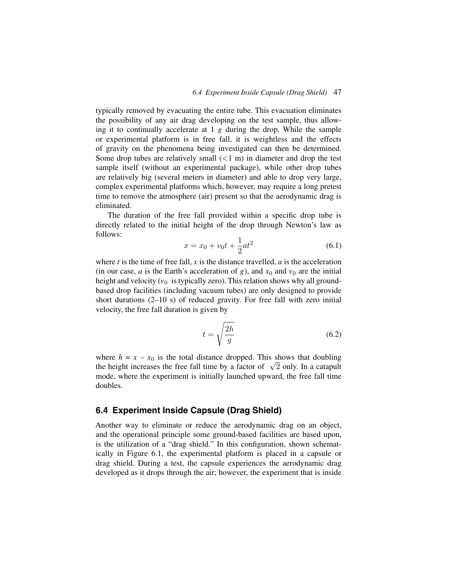typically removed by evacuating the entire tube. This evacuation eliminates the possibility of any air drag developing on the test sample, thus allowing it to continually accelerate at 1 *g* during the drop. While the sample or experimental platform is in free fall, it is weightless and the effects of gravity on the phenomena being investigated can then be determined. Some drop tubes are relatively small  $(< 1 \text{ m})$  in diameter and drop the test sample itself (without an experimental package), while other drop tubes are relatively big (several meters in diameter) and able to drop very large, complex experimental platforms which, however, may require a long pretest time to remove the atmosphere (air) present so that the aerodynamic drag is eliminated.

The duration of the free fall provided within a specific drop tube is directly related to the initial height of the drop through Newton's law as follows:

$$
x = x_0 + v_0 t + \frac{1}{2} a t^2 \tag{6.1}
$$

where  $t$  is the time of free fall,  $x$  is the distance travelled,  $a$  is the acceleration (in our case, *a* is the Earth's acceleration of *g*), and  $x_0$  and  $v_0$  are the initial height and velocity  $(v_0$  is typically zero). This relation shows why all groundbased drop facilities (including vacuum tubes) are only designed to provide short durations (2–10 s) of reduced gravity. For free fall with zero initial velocity, the free fall duration is given by

$$
t = \sqrt{\frac{2h}{g}}\tag{6.2}
$$

where  $h = x - x_0$  is the total distance dropped. This shows that doubling the height increases the free fall time by a factor of  $\sqrt{2}$  only. In a catapult mode, where the experiment is initially launched upward, the free fall time doubles.

## **6.4 Experiment Inside Capsule (Drag Shield)**

Another way to eliminate or reduce the aerodynamic drag on an object, and the operational principle some ground-based facilities are based upon, is the utilization of a "drag shield." In this configuration, shown schematically in Figure 6.1, the experimental platform is placed in a capsule or drag shield. During a test, the capsule experiences the aerodynamic drag developed as it drops through the air; however, the experiment that is inside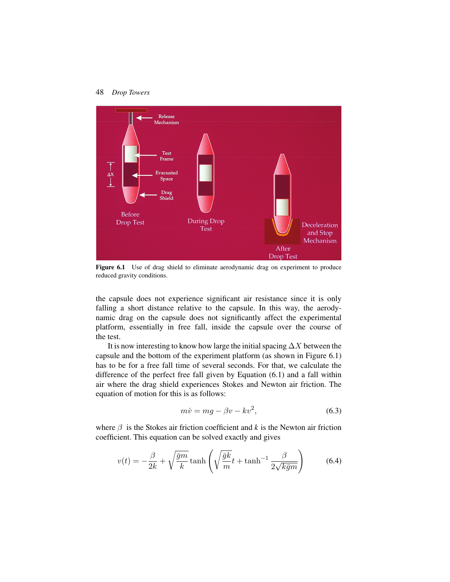

Figure 6.1 Use of drag shield to eliminate aerodynamic drag on experiment to produce reduced gravity conditions.

the capsule does not experience significant air resistance since it is only falling a short distance relative to the capsule. In this way, the aerodynamic drag on the capsule does not significantly affect the experimental platform, essentially in free fall, inside the capsule over the course of the test.

It is now interesting to know how large the initial spacing  $\Delta X$  between the capsule and the bottom of the experiment platform (as shown in Figure 6.1) has to be for a free fall time of several seconds. For that, we calculate the difference of the perfect free fall given by Equation (6.1) and a fall within air where the drag shield experiences Stokes and Newton air friction. The equation of motion for this is as follows:

$$
m\dot{v} = mg - \beta v - kv^2,\tag{6.3}
$$

where  $\beta$  is the Stokes air friction coefficient and  $k$  is the Newton air friction coefficient. This equation can be solved exactly and gives

$$
v(t) = -\frac{\beta}{2k} + \sqrt{\frac{\bar{g}m}{k}} \tanh\left(\sqrt{\frac{\bar{g}k}{m}}t + \tanh^{-1}\frac{\beta}{2\sqrt{k\bar{g}m}}\right) \tag{6.4}
$$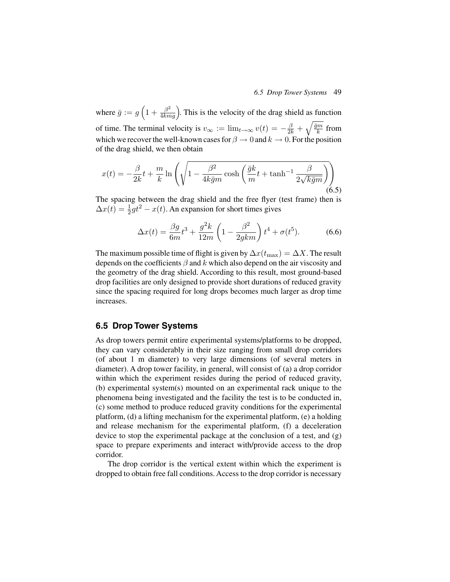where  $\bar{g} := g \left( 1 + \frac{\beta^2}{4kmg} \right)$ . This is the velocity of the drag shield as function of time. The terminal velocity is  $v_{\infty} := \lim_{t \to \infty} v(t) = -\frac{\beta}{2k} + \sqrt{\frac{\overline{g}m}{k}}$  from which we recover the well-known cases for  $\beta \to 0$  and  $k \to 0$ . For the position of the drag shield, we then obtain

$$
x(t) = -\frac{\beta}{2k}t + \frac{m}{k}\ln\left(\sqrt{1 - \frac{\beta^2}{4k\bar{g}m}\cosh\left(\frac{\bar{g}k}{m}t + \tanh^{-1}\frac{\beta}{2\sqrt{k\bar{g}m}}\right)}\right)
$$
(6.5)

The spacing between the drag shield and the free flyer (test frame) then is  $\Delta x(t) = \frac{1}{2}gt^2 - x(t)$ . An expansion for short times gives

$$
\Delta x(t) = \frac{\beta g}{6m} t^3 + \frac{g^2 k}{12m} \left( 1 - \frac{\beta^2}{2gkm} \right) t^4 + \sigma(t^5). \tag{6.6}
$$

The maximum possible time of flight is given by  $\Delta x(t_{\text{max}})=\Delta X$ . The result depends on the coefficients  $\beta$  and k which also depend on the air viscosity and the geometry of the drag shield. According to this result, most ground-based drop facilities are only designed to provide short durations of reduced gravity since the spacing required for long drops becomes much larger as drop time increases.

## **6.5 Drop Tower Systems**

As drop towers permit entire experimental systems/platforms to be dropped, they can vary considerably in their size ranging from small drop corridors (of about 1 m diameter) to very large dimensions (of several meters in diameter). A drop tower facility, in general, will consist of (a) a drop corridor within which the experiment resides during the period of reduced gravity, (b) experimental system(s) mounted on an experimental rack unique to the phenomena being investigated and the facility the test is to be conducted in, (c) some method to produce reduced gravity conditions for the experimental platform, (d) a lifting mechanism for the experimental platform, (e) a holding and release mechanism for the experimental platform, (f) a deceleration device to stop the experimental package at the conclusion of a test, and (g) space to prepare experiments and interact with/provide access to the drop corridor.

The drop corridor is the vertical extent within which the experiment is dropped to obtain free fall conditions. Access to the drop corridor is necessary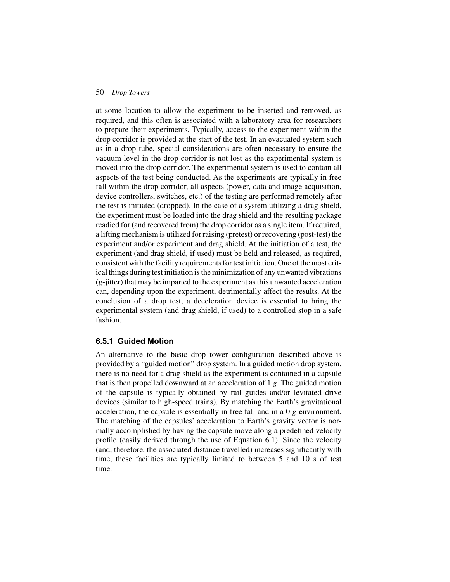at some location to allow the experiment to be inserted and removed, as required, and this often is associated with a laboratory area for researchers to prepare their experiments. Typically, access to the experiment within the drop corridor is provided at the start of the test. In an evacuated system such as in a drop tube, special considerations are often necessary to ensure the vacuum level in the drop corridor is not lost as the experimental system is moved into the drop corridor. The experimental system is used to contain all aspects of the test being conducted. As the experiments are typically in free fall within the drop corridor, all aspects (power, data and image acquisition, device controllers, switches, etc.) of the testing are performed remotely after the test is initiated (dropped). In the case of a system utilizing a drag shield, the experiment must be loaded into the drag shield and the resulting package readied for (and recovered from) the drop corridor as a single item. If required, a lifting mechanism is utilized for raising (pretest) or recovering (post-test) the experiment and/or experiment and drag shield. At the initiation of a test, the experiment (and drag shield, if used) must be held and released, as required, consistent with the facility requirements for test initiation. One of the most critical things during test initiation is the minimization of any unwanted vibrations (g-jitter) that may be imparted to the experiment as this unwanted acceleration can, depending upon the experiment, detrimentally affect the results. At the conclusion of a drop test, a deceleration device is essential to bring the experimental system (and drag shield, if used) to a controlled stop in a safe fashion.

#### **6.5.1 Guided Motion**

An alternative to the basic drop tower configuration described above is provided by a "guided motion" drop system. In a guided motion drop system, there is no need for a drag shield as the experiment is contained in a capsule that is then propelled downward at an acceleration of 1 *g*. The guided motion of the capsule is typically obtained by rail guides and/or levitated drive devices (similar to high-speed trains). By matching the Earth's gravitational acceleration, the capsule is essentially in free fall and in a 0 *g* environment. The matching of the capsules' acceleration to Earth's gravity vector is normally accomplished by having the capsule move along a predefined velocity profile (easily derived through the use of Equation 6.1). Since the velocity (and, therefore, the associated distance travelled) increases significantly with time, these facilities are typically limited to between 5 and 10 s of test time.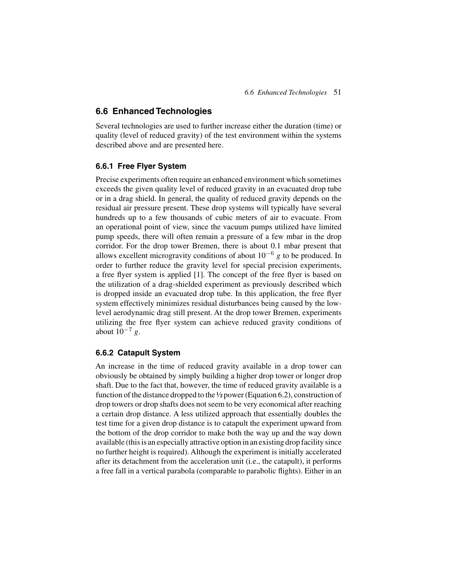## **6.6 Enhanced Technologies**

Several technologies are used to further increase either the duration (time) or quality (level of reduced gravity) of the test environment within the systems described above and are presented here.

## **6.6.1 Free Flyer System**

Precise experiments often require an enhanced environment which sometimes exceeds the given quality level of reduced gravity in an evacuated drop tube or in a drag shield. In general, the quality of reduced gravity depends on the residual air pressure present. These drop systems will typically have several hundreds up to a few thousands of cubic meters of air to evacuate. From an operational point of view, since the vacuum pumps utilized have limited pump speeds, there will often remain a pressure of a few mbar in the drop corridor. For the drop tower Bremen, there is about 0.1 mbar present that allows excellent microgravity conditions of about 10−<sup>6</sup> *g* to be produced. In order to further reduce the gravity level for special precision experiments, a free flyer system is applied [1]. The concept of the free flyer is based on the utilization of a drag-shielded experiment as previously described which is dropped inside an evacuated drop tube. In this application, the free flyer system effectively minimizes residual disturbances being caused by the lowlevel aerodynamic drag still present. At the drop tower Bremen, experiments utilizing the free flyer system can achieve reduced gravity conditions of about 10−<sup>7</sup> *g*.

#### **6.6.2 Catapult System**

An increase in the time of reduced gravity available in a drop tower can obviously be obtained by simply building a higher drop tower or longer drop shaft. Due to the fact that, however, the time of reduced gravity available is a function of the distance dropped to the ½ power (Equation 6.2), construction of drop towers or drop shafts does not seem to be very economical after reaching a certain drop distance. A less utilized approach that essentially doubles the test time for a given drop distance is to catapult the experiment upward from the bottom of the drop corridor to make both the way up and the way down available (this is an especially attractive option in an existing drop facility since no further height is required). Although the experiment is initially accelerated after its detachment from the acceleration unit (i.e., the catapult), it performs a free fall in a vertical parabola (comparable to parabolic flights). Either in an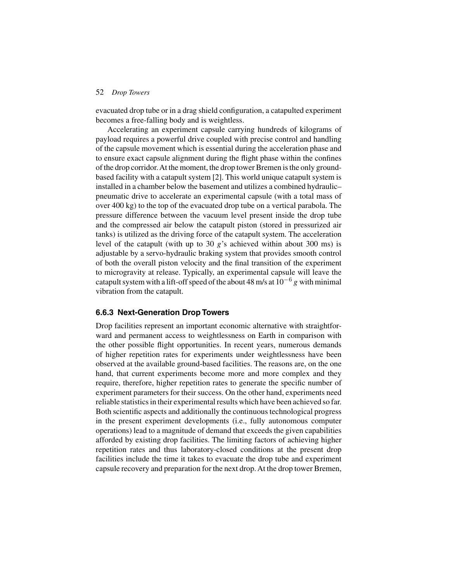evacuated drop tube or in a drag shield configuration, a catapulted experiment becomes a free-falling body and is weightless.

Accelerating an experiment capsule carrying hundreds of kilograms of payload requires a powerful drive coupled with precise control and handling of the capsule movement which is essential during the acceleration phase and to ensure exact capsule alignment during the flight phase within the confines of the drop corridor.At the moment, the drop tower Bremen is the only groundbased facility with a catapult system [2]. This world unique catapult system is installed in a chamber below the basement and utilizes a combined hydraulic– pneumatic drive to accelerate an experimental capsule (with a total mass of over 400 kg) to the top of the evacuated drop tube on a vertical parabola. The pressure difference between the vacuum level present inside the drop tube and the compressed air below the catapult piston (stored in pressurized air tanks) is utilized as the driving force of the catapult system. The acceleration level of the catapult (with up to 30  $g$ 's achieved within about 300 ms) is adjustable by a servo-hydraulic braking system that provides smooth control of both the overall piston velocity and the final transition of the experiment to microgravity at release. Typically, an experimental capsule will leave the catapult system with a lift-off speed of the about 48 m/s at 10−<sup>6</sup> *g* with minimal vibration from the catapult.

#### **6.6.3 Next-Generation Drop Towers**

Drop facilities represent an important economic alternative with straightforward and permanent access to weightlessness on Earth in comparison with the other possible flight opportunities. In recent years, numerous demands of higher repetition rates for experiments under weightlessness have been observed at the available ground-based facilities. The reasons are, on the one hand, that current experiments become more and more complex and they require, therefore, higher repetition rates to generate the specific number of experiment parameters for their success. On the other hand, experiments need reliable statistics in their experimental results which have been achieved so far. Both scientific aspects and additionally the continuous technological progress in the present experiment developments (i.e., fully autonomous computer operations) lead to a magnitude of demand that exceeds the given capabilities afforded by existing drop facilities. The limiting factors of achieving higher repetition rates and thus laboratory-closed conditions at the present drop facilities include the time it takes to evacuate the drop tube and experiment capsule recovery and preparation for the next drop. At the drop tower Bremen,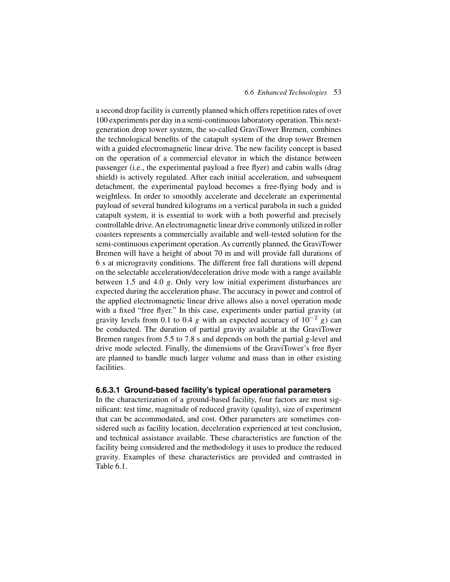a second drop facility is currently planned which offers repetition rates of over 100 experiments per day in a semi-continuous laboratory operation. This nextgeneration drop tower system, the so-called GraviTower Bremen, combines the technological benefits of the catapult system of the drop tower Bremen with a guided electromagnetic linear drive. The new facility concept is based on the operation of a commercial elevator in which the distance between passenger (i.e., the experimental payload a free flyer) and cabin walls (drag shield) is actively regulated. After each initial acceleration, and subsequent detachment, the experimental payload becomes a free-flying body and is weightless. In order to smoothly accelerate and decelerate an experimental payload of several hundred kilograms on a vertical parabola in such a guided catapult system, it is essential to work with a both powerful and precisely controllable drive.An electromagnetic linear drive commonly utilized in roller coasters represents a commercially available and well-tested solution for the semi-continuous experiment operation. As currently planned, the GraviTower Bremen will have a height of about 70 m and will provide fall durations of 6 s at microgravity conditions. The different free fall durations will depend on the selectable acceleration/deceleration drive mode with a range available between 1.5 and 4.0 *g*. Only very low initial experiment disturbances are expected during the acceleration phase. The accuracy in power and control of the applied electromagnetic linear drive allows also a novel operation mode with a fixed "free flyer." In this case, experiments under partial gravity (at gravity levels from 0.1 to 0.4 *g* with an expected accuracy of  $10^{-2}$  *g*) can be conducted. The duration of partial gravity available at the GraviTower Bremen ranges from 5.5 to 7.8 s and depends on both the partial g-level and drive mode selected. Finally, the dimensions of the GraviTower's free flyer are planned to handle much larger volume and mass than in other existing facilities.

#### **6.6.3.1 Ground-based facility's typical operational parameters**

In the characterization of a ground-based facility, four factors are most significant: test time, magnitude of reduced gravity (quality), size of experiment that can be accommodated, and cost. Other parameters are sometimes considered such as facility location, deceleration experienced at test conclusion, and technical assistance available. These characteristics are function of the facility being considered and the methodology it uses to produce the reduced gravity. Examples of these characteristics are provided and contrasted in Table 6.1.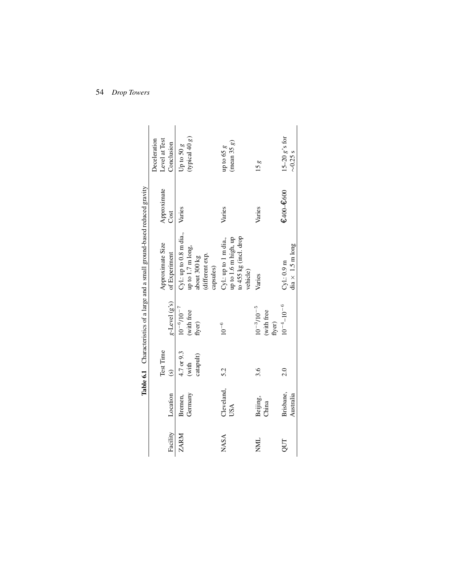| Facility    | Location               | Test Time<br>$\circ$             | $g$ -Level $(g's)$                            | Approximate Size<br>of Experiment                                                            | Approximate<br>Cost | Level at Test<br>Deceleration<br>Conclusion |
|-------------|------------------------|----------------------------------|-----------------------------------------------|----------------------------------------------------------------------------------------------|---------------------|---------------------------------------------|
| ZARM        | Germany<br>Bremen,     | 4.7 or 9.3<br>catapult)<br>(with | $10^{-6}$ / $10^{-7}$<br>(with free<br>flyer) | Cyl.: up to 0.8 m dia.,<br>up to 1.7 m long,<br>(different exp.<br>about 300 kg<br>capsules) | Varies              | (typical 40 g)<br>Up to 50 $g$              |
| <b>NASA</b> | Cleveland,<br>USA      | 5.2                              | $10^{-6}\,$                                   | to 455 kg (incl. drop<br>up to 1.6 m high, up<br>Cyl.: up to 1 m dia.,<br>vehicle)           | Varies              | (mean 35 g)<br>up to 65 $\it{g}$            |
| <b>NNL</b>  | Beijing,<br>China      | 3.6                              | $10^{-3}/10^{-5}$<br>(with free<br>flyer)     | Varies                                                                                       | Varies              | 15g                                         |
| QUT         | Brisbane,<br>Australia | 2.0                              | $10^{-4} - 10^{-6}$                           | $dia \times 1.5 \text{ m long}$<br>$Cyl$ : 0.9 m                                             | €400-€600           | $15-20 g's for$<br>$\sim 0.25$ s            |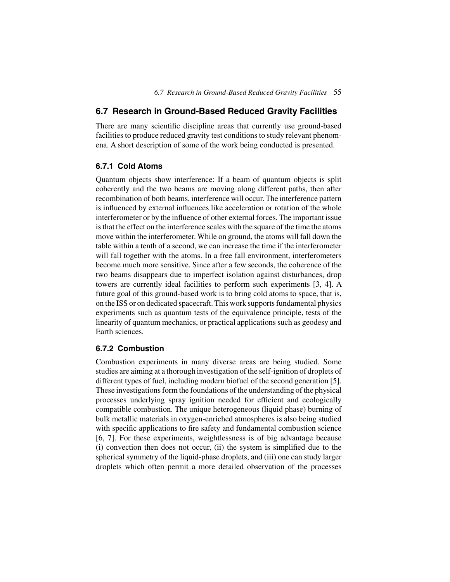## **6.7 Research in Ground-Based Reduced Gravity Facilities**

There are many scientific discipline areas that currently use ground-based facilities to produce reduced gravity test conditions to study relevant phenomena. A short description of some of the work being conducted is presented.

## **6.7.1 Cold Atoms**

Quantum objects show interference: If a beam of quantum objects is split coherently and the two beams are moving along different paths, then after recombination of both beams, interference will occur. The interference pattern is influenced by external influences like acceleration or rotation of the whole interferometer or by the influence of other external forces. The important issue is that the effect on the interference scales with the square of the time the atoms move within the interferometer. While on ground, the atoms will fall down the table within a tenth of a second, we can increase the time if the interferometer will fall together with the atoms. In a free fall environment, interferometers become much more sensitive. Since after a few seconds, the coherence of the two beams disappears due to imperfect isolation against disturbances, drop towers are currently ideal facilities to perform such experiments [3, 4]. A future goal of this ground-based work is to bring cold atoms to space, that is, on the ISS or on dedicated spacecraft. This work supports fundamental physics experiments such as quantum tests of the equivalence principle, tests of the linearity of quantum mechanics, or practical applications such as geodesy and Earth sciences.

## **6.7.2 Combustion**

Combustion experiments in many diverse areas are being studied. Some studies are aiming at a thorough investigation of the self-ignition of droplets of different types of fuel, including modern biofuel of the second generation [5]. These investigations form the foundations of the understanding of the physical processes underlying spray ignition needed for efficient and ecologically compatible combustion. The unique heterogeneous (liquid phase) burning of bulk metallic materials in oxygen-enriched atmospheres is also being studied with specific applications to fire safety and fundamental combustion science [6, 7]. For these experiments, weightlessness is of big advantage because (i) convection then does not occur, (ii) the system is simplified due to the spherical symmetry of the liquid-phase droplets, and (iii) one can study larger droplets which often permit a more detailed observation of the processes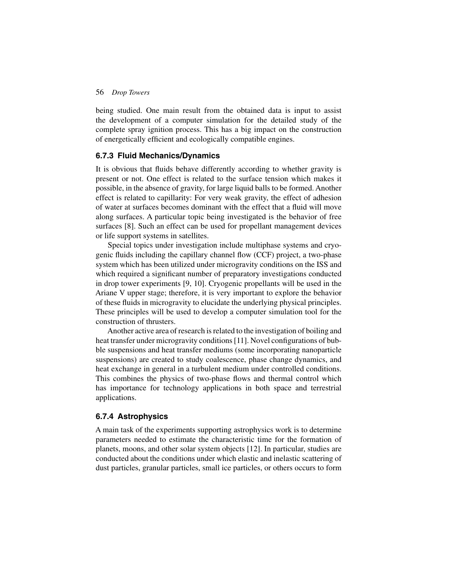being studied. One main result from the obtained data is input to assist the development of a computer simulation for the detailed study of the complete spray ignition process. This has a big impact on the construction of energetically efficient and ecologically compatible engines.

#### **6.7.3 Fluid Mechanics/Dynamics**

It is obvious that fluids behave differently according to whether gravity is present or not. One effect is related to the surface tension which makes it possible, in the absence of gravity, for large liquid balls to be formed. Another effect is related to capillarity: For very weak gravity, the effect of adhesion of water at surfaces becomes dominant with the effect that a fluid will move along surfaces. A particular topic being investigated is the behavior of free surfaces [8]. Such an effect can be used for propellant management devices or life support systems in satellites.

Special topics under investigation include multiphase systems and cryogenic fluids including the capillary channel flow (CCF) project, a two-phase system which has been utilized under microgravity conditions on the ISS and which required a significant number of preparatory investigations conducted in drop tower experiments [9, 10]. Cryogenic propellants will be used in the Ariane V upper stage; therefore, it is very important to explore the behavior of these fluids in microgravity to elucidate the underlying physical principles. These principles will be used to develop a computer simulation tool for the construction of thrusters.

Another active area of research is related to the investigation of boiling and heat transfer under microgravity conditions [11]. Novel configurations of bubble suspensions and heat transfer mediums (some incorporating nanoparticle suspensions) are created to study coalescence, phase change dynamics, and heat exchange in general in a turbulent medium under controlled conditions. This combines the physics of two-phase flows and thermal control which has importance for technology applications in both space and terrestrial applications.

#### **6.7.4 Astrophysics**

A main task of the experiments supporting astrophysics work is to determine parameters needed to estimate the characteristic time for the formation of planets, moons, and other solar system objects [12]. In particular, studies are conducted about the conditions under which elastic and inelastic scattering of dust particles, granular particles, small ice particles, or others occurs to form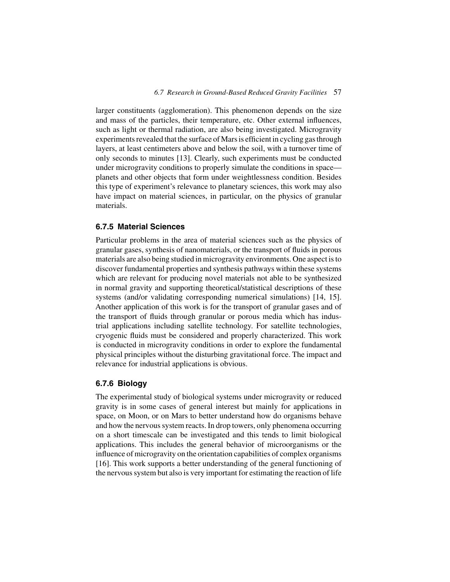larger constituents (agglomeration). This phenomenon depends on the size and mass of the particles, their temperature, etc. Other external influences, such as light or thermal radiation, are also being investigated. Microgravity experiments revealed that the surface of Mars is efficient in cycling gas through layers, at least centimeters above and below the soil, with a turnover time of only seconds to minutes [13]. Clearly, such experiments must be conducted under microgravity conditions to properly simulate the conditions in space planets and other objects that form under weightlessness condition. Besides this type of experiment's relevance to planetary sciences, this work may also have impact on material sciences, in particular, on the physics of granular materials.

#### **6.7.5 Material Sciences**

Particular problems in the area of material sciences such as the physics of granular gases, synthesis of nanomaterials, or the transport of fluids in porous materials are also being studied in microgravity environments. One aspect is to discover fundamental properties and synthesis pathways within these systems which are relevant for producing novel materials not able to be synthesized in normal gravity and supporting theoretical/statistical descriptions of these systems (and/or validating corresponding numerical simulations) [14, 15]. Another application of this work is for the transport of granular gases and of the transport of fluids through granular or porous media which has industrial applications including satellite technology. For satellite technologies, cryogenic fluids must be considered and properly characterized. This work is conducted in microgravity conditions in order to explore the fundamental physical principles without the disturbing gravitational force. The impact and relevance for industrial applications is obvious.

### **6.7.6 Biology**

The experimental study of biological systems under microgravity or reduced gravity is in some cases of general interest but mainly for applications in space, on Moon, or on Mars to better understand how do organisms behave and how the nervous system reacts. In drop towers, only phenomena occurring on a short timescale can be investigated and this tends to limit biological applications. This includes the general behavior of microorganisms or the influence of microgravity on the orientation capabilities of complex organisms [16]. This work supports a better understanding of the general functioning of the nervous system but also is very important for estimating the reaction of life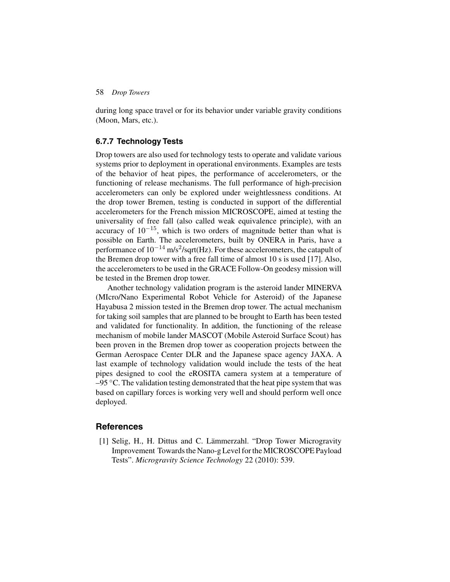during long space travel or for its behavior under variable gravity conditions (Moon, Mars, etc.).

### **6.7.7 Technology Tests**

Drop towers are also used for technology tests to operate and validate various systems prior to deployment in operational environments. Examples are tests of the behavior of heat pipes, the performance of accelerometers, or the functioning of release mechanisms. The full performance of high-precision accelerometers can only be explored under weightlessness conditions. At the drop tower Bremen, testing is conducted in support of the differential accelerometers for the French mission MICROSCOPE, aimed at testing the universality of free fall (also called weak equivalence principle), with an accuracy of  $10^{-15}$ , which is two orders of magnitude better than what is possible on Earth. The accelerometers, built by ONERA in Paris, have a performance of  $10^{-14}$  m/s<sup>2</sup>/sqrt(Hz). For these accelerometers, the catapult of the Bremen drop tower with a free fall time of almost 10 s is used [17]. Also, the accelerometers to be used in the GRACE Follow-On geodesy mission will be tested in the Bremen drop tower.

Another technology validation program is the asteroid lander MINERVA (MIcro/Nano Experimental Robot Vehicle for Asteroid) of the Japanese Hayabusa 2 mission tested in the Bremen drop tower. The actual mechanism for taking soil samples that are planned to be brought to Earth has been tested and validated for functionality. In addition, the functioning of the release mechanism of mobile lander MASCOT (Mobile Asteroid Surface Scout) has been proven in the Bremen drop tower as cooperation projects between the German Aerospace Center DLR and the Japanese space agency JAXA. A last example of technology validation would include the tests of the heat pipes designed to cool the eROSITA camera system at a temperature of  $-95$  °C. The validation testing demonstrated that the heat pipe system that was based on capillary forces is working very well and should perform well once deployed.

#### **References**

[1] Selig, H., H. Dittus and C. Lämmerzahl. "Drop Tower Microgravity Improvement Towards the Nano-g Level for the MICROSCOPE Payload Tests". *Microgravity Science Technology* 22 (2010): 539.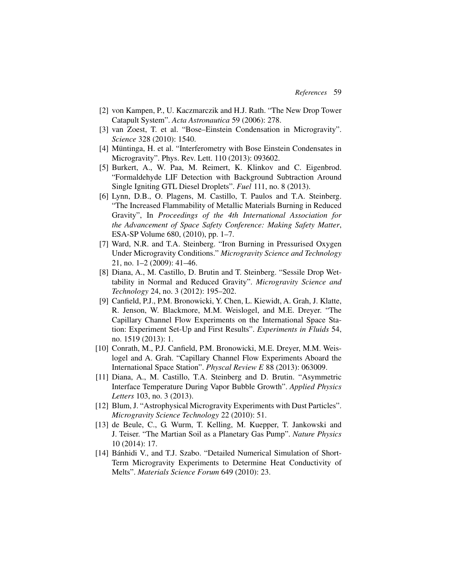- [2] von Kampen, P., U. Kaczmarczik and H.J. Rath. "The New Drop Tower Catapult System". *Acta Astronautica* 59 (2006): 278.
- [3] van Zoest, T. et al. "Bose–Einstein Condensation in Microgravity". *Science* 328 (2010): 1540.
- [4] Müntinga, H. et al. "Interferometry with Bose Einstein Condensates in Microgravity". Phys. Rev. Lett. 110 (2013): 093602.
- [5] Burkert, A., W. Paa, M. Reimert, K. Klinkov and C. Eigenbrod. "Formaldehyde LIF Detection with Background Subtraction Around Single Igniting GTL Diesel Droplets". *Fuel* 111, no. 8 (2013).
- [6] Lynn, D.B., O. Plagens, M. Castillo, T. Paulos and T.A. Steinberg. "The Increased Flammability of Metallic Materials Burning in Reduced Gravity", In *Proceedings of the 4th International Association for the Advancement of Space Safety Conference: Making Safety Matter*, ESA-SP Volume 680, (2010), pp. 1–7.
- [7] Ward, N.R. and T.A. Steinberg. "Iron Burning in Pressurised Oxygen Under Microgravity Conditions." *Microgravity Science and Technology* 21, no. 1–2 (2009): 41–46.
- [8] Diana, A., M. Castillo, D. Brutin and T. Steinberg. "Sessile Drop Wettability in Normal and Reduced Gravity". *Microgravity Science and Technology* 24, no. 3 (2012): 195–202.
- [9] Canfield, P.J., P.M. Bronowicki, Y. Chen, L. Kiewidt, A. Grah, J. Klatte, R. Jenson, W. Blackmore, M.M. Weislogel, and M.E. Dreyer. "The Capillary Channel Flow Experiments on the International Space Station: Experiment Set-Up and First Results". *Experiments in Fluids* 54, no. 1519 (2013): 1.
- [10] Conrath, M., P.J. Canfield, P.M. Bronowicki, M.E. Dreyer, M.M. Weislogel and A. Grah. "Capillary Channel Flow Experiments Aboard the International Space Station". *Physcal Review E* 88 (2013): 063009.
- [11] Diana, A., M. Castillo, T.A. Steinberg and D. Brutin. "Asymmetric Interface Temperature During Vapor Bubble Growth". *Applied Physics Letters* 103, no. 3 (2013).
- [12] Blum, J. "Astrophysical Microgravity Experiments with Dust Particles". *Microgravity Science Technology* 22 (2010): 51.
- [13] de Beule, C., G. Wurm, T. Kelling, M. Kuepper, T. Jankowski and J. Teiser. "The Martian Soil as a Planetary Gas Pump". *Nature Physics* 10 (2014): 17.
- [14] Bánhidi V., and T.J. Szabo. "Detailed Numerical Simulation of Short-Term Microgravity Experiments to Determine Heat Conductivity of Melts". *Materials Science Forum* 649 (2010): 23.